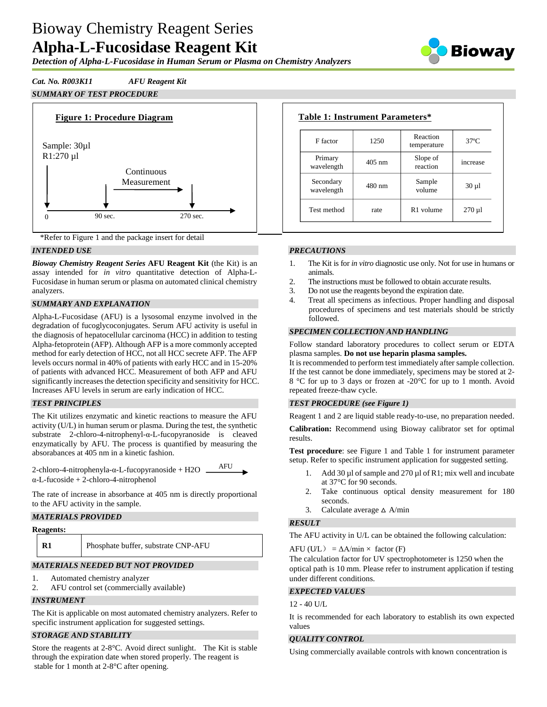*Detection of Alpha-L-Fucosidase in Human Serum or Plasma on Chemistry Analyzers*



# *Cat. No. R003K11 AFU Reagent Kit*

# *SUMMARY OF TEST PROCEDURE*





## *INTENDED USE*

*Bioway Chemistry Reagent Series* **AFU Reagent Kit** (the Kit) is an assay intended for *in vitro* quantitative detection of Alpha-L-Fucosidase in human serum or plasma on automated clinical chemistry analyzers.

## *SUMMARY AND EXPLANATION*

Alpha-L-Fucosidase (AFU) is a lysosomal enzyme involved in the degradation of fucoglycoconjugates. Serum AFU activity is useful in the diagnosis of hepatocellular carcinoma (HCC) in addition to testing Alpha-fetoprotein (AFP). Although AFP is a more commonly accepted method for early detection of HCC, not all HCC secrete AFP. The AFP levels occurs normal in 40% of patients with early HCC and in 15-20% of patients with advanced HCC. Measurement of both AFP and AFU significantly increases the detection specificity and sensitivity for HCC. Increases AFU levels in serum are early indication of HCC.

### *TEST PRINCIPLES*

The Kit utilizes enzymatic and kinetic reactions to measure the AFU activity (U/L) in human serum or plasma. During the test, the synthetic substrate 2-chloro-4-nitrophenyl-α-L-fucopyranoside is cleaved enzymatically by AFU. The process is quantified by measuring the absorabances at 405 nm in a kinetic fashion.

| 2-chloro-4-nitrophenyla-α-L-fucopyranoside + H2O | AFU |
|--------------------------------------------------|-----|
| $\alpha$ -L-fucoside + 2-chloro-4-nitrophenol    |     |

The rate of increase in absorbance at 405 nm is directly proportional to the AFU activity in the sample.

### *MATERIALS PROVIDED*

| <b>Reagents:</b> |                                     |
|------------------|-------------------------------------|
|                  | Phosphate buffer, substrate CNP-AFU |
|                  |                                     |

# *MATERIALS NEEDED BUT NOT PROVIDED*

- 1. Automated chemistry analyzer
- 2. AFU control set (commercially available)

### *INSTRUMENT*

The Kit is applicable on most automated chemistry analyzers. Refer to specific instrument application for suggested settings.

### *STORAGE AND STABILITY*

Store the reagents at 2-8°C. Avoid direct sunlight. The Kit is stable through the expiration date when stored properly. The reagent is stable for 1 month at 2-8°C after opening.

| F factor                | 1250             | Reaction<br>temperature | $37^\circ$ C |
|-------------------------|------------------|-------------------------|--------------|
| Primary<br>wavelength   | $405 \text{ nm}$ | Slope of<br>reaction    | increase     |
| Secondary<br>wavelength | $480$ nm         | Sample<br>volume        | $30 \mu l$   |
| Test method             | rate             | R <sub>1</sub> volume   | $270 \mu l$  |

### *PRECAUTIONS*

- 1. The Kit is for *in vitro* diagnostic use only. Not for use in humans or animals.
- 2. The instructions must be followed to obtain accurate results.
- 3. Do not use the reagents beyond the expiration date.
- 4. Treat all specimens as infectious. Proper handling and disposal procedures of specimens and test materials should be strictly followed.

#### *SPECIMEN COLLECTION AND HANDLING*

Follow standard laboratory procedures to collect serum or EDTA plasma samples. **Do not use heparin plasma samples.**

It is recommended to perform test immediately after sample collection. If the test cannot be done immediately, specimens may be stored at 2- 8 °C for up to 3 days or frozen at -20°C for up to 1 month. Avoid repeated freeze-thaw cycle.

### *TEST PROCEDURE (see Figure 1)*

Reagent 1 and 2 are liquid stable ready-to-use, no preparation needed.

**Calibration:** Recommend using Bioway calibrator set for optimal results.

**Test procedure**: see Figure 1 and Table 1 for instrument parameter setup. Refer to specific instrument application for suggested setting.

- 1. Add 30 µl of sample and 270 µl of R1; mix well and incubate at 37°C for 90 seconds.
- 2. Take continuous optical density measurement for 180 seconds.
- 3. Calculate average  $\triangle$  A/min

### *RESULT*

The AFU activity in U/L can be obtained the following calculation:

AFU (U/L) =  $\Delta A/min \times$  factor (F)

The calculation factor for UV spectrophotometer is 1250 when the optical path is 10 mm. Please refer to instrument application if testing under different conditions.

### *EXPECTED VALUES*

12 - 40 U/L

It is recommended for each laboratory to establish its own expected values

### *QUALITY CONTROL*

Using commercially available controls with known concentration is